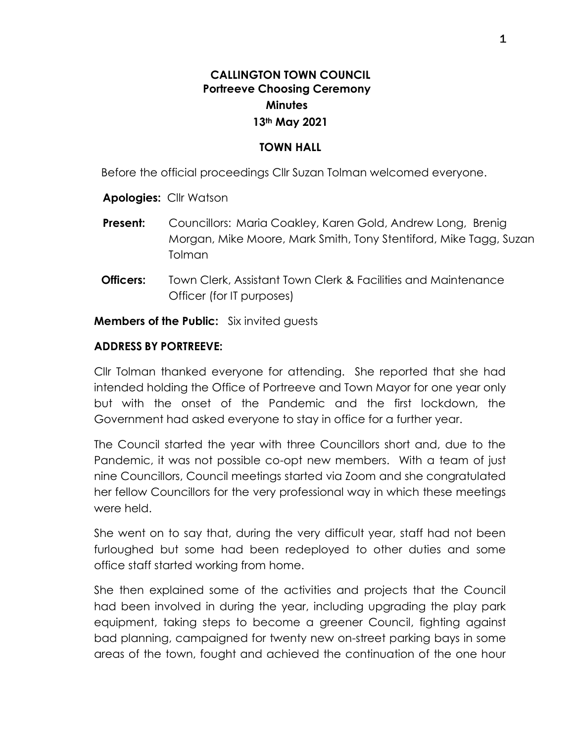# **CALLINGTON TOWN COUNCIL Portreeve Choosing Ceremony Minutes 13th May 2021**

#### **TOWN HALL**

Before the official proceedings Cllr Suzan Tolman welcomed everyone.

**Apologies:** Cllr Watson

- **Present:** Councillors: Maria Coakley, Karen Gold, Andrew Long, Brenig Morgan, Mike Moore, Mark Smith, Tony Stentiford, Mike Tagg, Suzan Tolman
- **Officers:** Town Clerk, Assistant Town Clerk & Facilities and Maintenance Officer (for IT purposes)

**Members of the Public:** Six invited guests

#### **ADDRESS BY PORTREEVE:**

Cllr Tolman thanked everyone for attending. She reported that she had intended holding the Office of Portreeve and Town Mayor for one year only but with the onset of the Pandemic and the first lockdown, the Government had asked everyone to stay in office for a further year.

The Council started the year with three Councillors short and, due to the Pandemic, it was not possible co-opt new members. With a team of just nine Councillors, Council meetings started via Zoom and she congratulated her fellow Councillors for the very professional way in which these meetings were held.

She went on to say that, during the very difficult year, staff had not been furloughed but some had been redeployed to other duties and some office staff started working from home.

She then explained some of the activities and projects that the Council had been involved in during the year, including upgrading the play park equipment, taking steps to become a greener Council, fighting against bad planning, campaigned for twenty new on-street parking bays in some areas of the town, fought and achieved the continuation of the one hour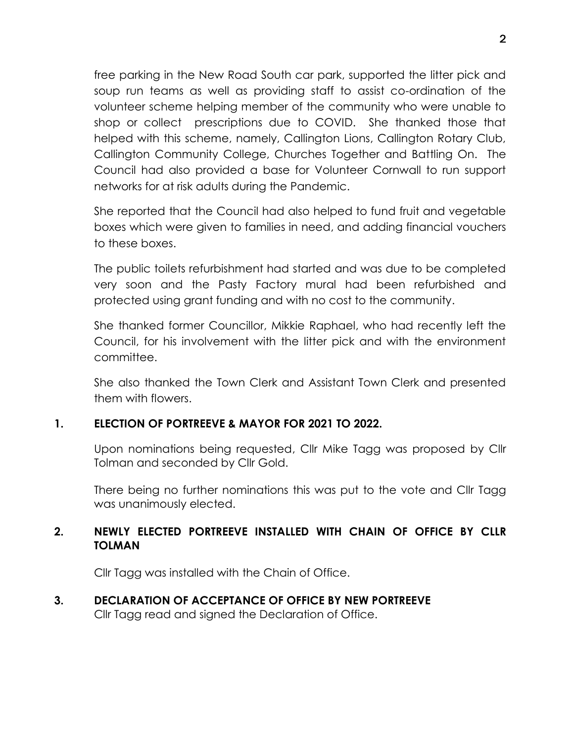free parking in the New Road South car park, supported the litter pick and soup run teams as well as providing staff to assist co-ordination of the volunteer scheme helping member of the community who were unable to shop or collect prescriptions due to COVID. She thanked those that helped with this scheme, namely, Callington Lions, Callington Rotary Club, Callington Community College, Churches Together and Battling On. The Council had also provided a base for Volunteer Cornwall to run support networks for at risk adults during the Pandemic.

She reported that the Council had also helped to fund fruit and vegetable boxes which were given to families in need, and adding financial vouchers to these boxes.

The public toilets refurbishment had started and was due to be completed very soon and the Pasty Factory mural had been refurbished and protected using grant funding and with no cost to the community.

She thanked former Councillor, Mikkie Raphael, who had recently left the Council, for his involvement with the litter pick and with the environment committee.

She also thanked the Town Clerk and Assistant Town Clerk and presented them with flowers.

### **1. ELECTION OF PORTREEVE & MAYOR FOR 2021 TO 2022.**

Upon nominations being requested, Cllr Mike Tagg was proposed by Cllr Tolman and seconded by Cllr Gold.

There being no further nominations this was put to the vote and Cllr Tagg was unanimously elected.

# **2. NEWLY ELECTED PORTREEVE INSTALLED WITH CHAIN OF OFFICE BY CLLR TOLMAN**

Cllr Tagg was installed with the Chain of Office.

**3. DECLARATION OF ACCEPTANCE OF OFFICE BY NEW PORTREEVE** Cllr Tagg read and signed the Declaration of Office.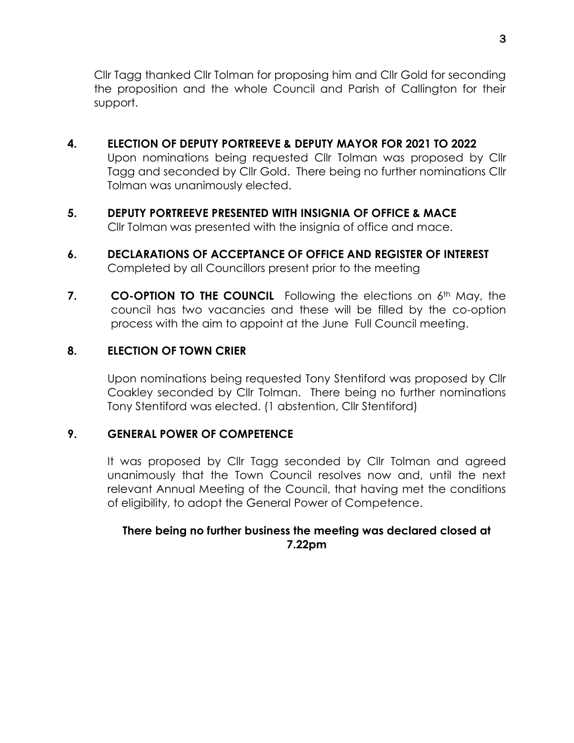Cllr Tagg thanked Cllr Tolman for proposing him and Cllr Gold for seconding the proposition and the whole Council and Parish of Callington for their support.

# **4. ELECTION OF DEPUTY PORTREEVE & DEPUTY MAYOR FOR 2021 TO 2022**

Upon nominations being requested Cllr Tolman was proposed by Cllr Tagg and seconded by Cllr Gold. There being no further nominations Cllr Tolman was unanimously elected.

### **5. DEPUTY PORTREEVE PRESENTED WITH INSIGNIA OF OFFICE & MACE** Cllr Tolman was presented with the insignia of office and mace.

- **6. DECLARATIONS OF ACCEPTANCE OF OFFICE AND REGISTER OF INTEREST** Completed by all Councillors present prior to the meeting
- **7. CO-OPTION TO THE COUNCIL** Following the elections on 6<sup>th</sup> May, the council has two vacancies and these will be filled by the co-option process with the aim to appoint at the June Full Council meeting.

### **8. ELECTION OF TOWN CRIER**

Upon nominations being requested Tony Stentiford was proposed by Cllr Coakley seconded by Cllr Tolman. There being no further nominations Tony Stentiford was elected. (1 abstention, Cllr Stentiford)

#### **9. GENERAL POWER OF COMPETENCE**

It was proposed by Cllr Tagg seconded by Cllr Tolman and agreed unanimously that the Town Council resolves now and, until the next relevant Annual Meeting of the Council, that having met the conditions of eligibility, to adopt the General Power of Competence.

### **There being no further business the meeting was declared closed at 7.22pm**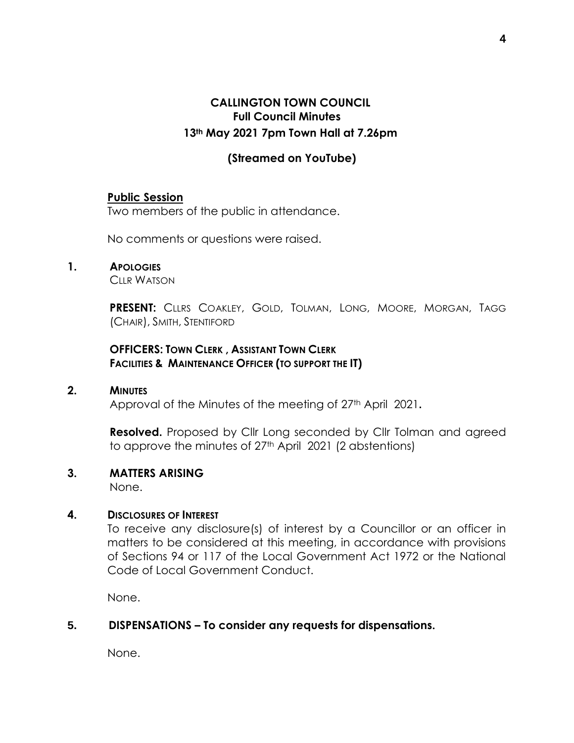# **CALLINGTON TOWN COUNCIL Full Council Minutes 13th May 2021 7pm Town Hall at 7.26pm**

### **(Streamed on YouTube)**

#### **Public Session**

Two members of the public in attendance.

No comments or questions were raised.

#### **1. APOLOGIES**

CLLR WATSON

**PRESENT:** CLLRS COAKLEY, GOLD, TOLMAN, LONG, MOORE, MORGAN, TAGG (CHAIR), SMITH, STENTIFORD

### **OFFICERS: TOWN CLERK , ASSISTANT TOWN CLERK FACILITIES & MAINTENANCE OFFICER (TO SUPPORT THE IT)**

#### **2. MINUTES**

Approval of the Minutes of the meeting of 27th April 2021**.**

**Resolved.** Proposed by Cllr Long seconded by Cllr Tolman and agreed to approve the minutes of 27<sup>th</sup> April 2021 (2 abstentions)

#### **3. MATTERS ARISING**

None.

#### **4. DISCLOSURES OF INTEREST**

To receive any disclosure(s) of interest by a Councillor or an officer in matters to be considered at this meeting, in accordance with provisions of Sections 94 or 117 of the Local Government Act 1972 or the National Code of Local Government Conduct.

None.

### **5. DISPENSATIONS – To consider any requests for dispensations.**

None.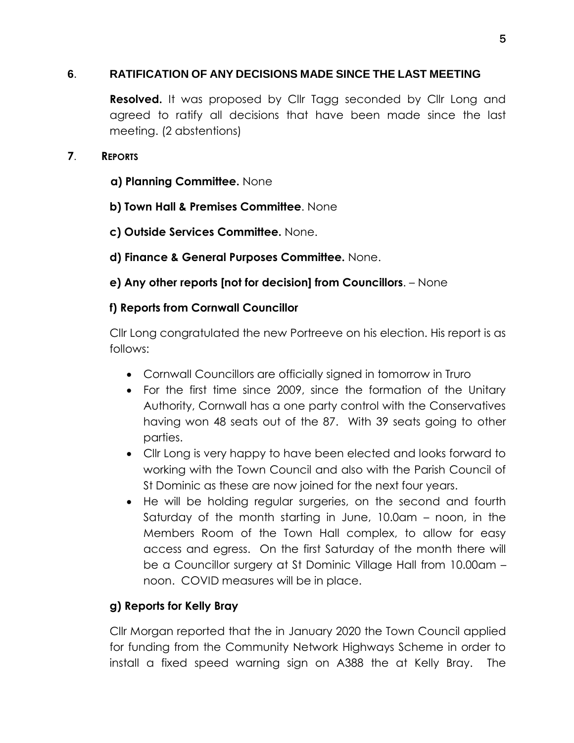# **6**. **RATIFICATION OF ANY DECISIONS MADE SINCE THE LAST MEETING**

**Resolved.** It was proposed by Cllr Tagg seconded by Cllr Long and agreed to ratify all decisions that have been made since the last meeting. (2 abstentions)

### **7**. **REPORTS**

- **a) Planning Committee.** None
- **b) Town Hall & Premises Committee**. None
- **c) Outside Services Committee.** None.
- **d) Finance & General Purposes Committee.** None.
- **e) Any other reports [not for decision] from Councillors**. None

# **f) Reports from Cornwall Councillor**

Cllr Long congratulated the new Portreeve on his election. His report is as follows:

- Cornwall Councillors are officially signed in tomorrow in Truro
- For the first time since 2009, since the formation of the Unitary Authority, Cornwall has a one party control with the Conservatives having won 48 seats out of the 87. With 39 seats going to other parties.
- Cllr Long is very happy to have been elected and looks forward to working with the Town Council and also with the Parish Council of St Dominic as these are now joined for the next four years.
- He will be holding regular surgeries, on the second and fourth Saturday of the month starting in June, 10.0am – noon, in the Members Room of the Town Hall complex, to allow for easy access and egress. On the first Saturday of the month there will be a Councillor surgery at St Dominic Village Hall from 10.00am – noon. COVID measures will be in place.

# **g) Reports for Kelly Bray**

Cllr Morgan reported that the in January 2020 the Town Council applied for funding from the Community Network Highways Scheme in order to install a fixed speed warning sign on A388 the at Kelly Bray. The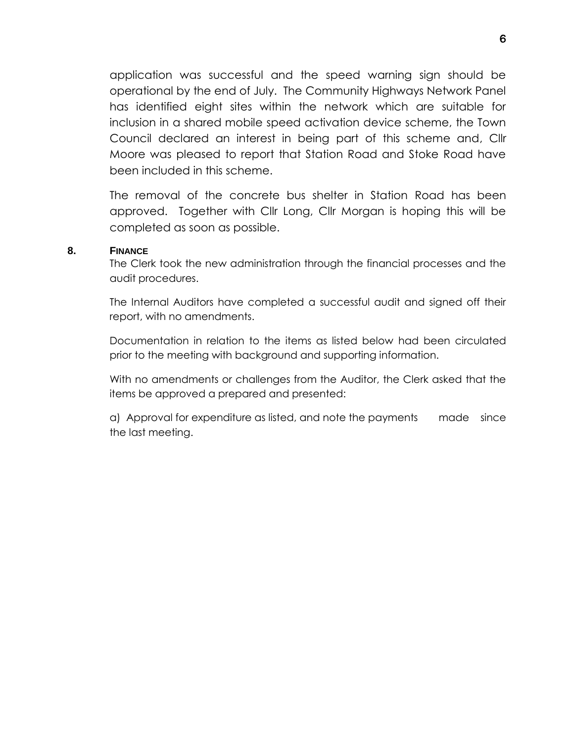application was successful and the speed warning sign should be operational by the end of July. The Community Highways Network Panel has identified eight sites within the network which are suitable for inclusion in a shared mobile speed activation device scheme, the Town Council declared an interest in being part of this scheme and, Cllr Moore was pleased to report that Station Road and Stoke Road have been included in this scheme.

The removal of the concrete bus shelter in Station Road has been approved. Together with Cllr Long, Cllr Morgan is hoping this will be completed as soon as possible.

#### **8. FINANCE**

The Clerk took the new administration through the financial processes and the audit procedures.

The Internal Auditors have completed a successful audit and signed off their report, with no amendments.

Documentation in relation to the items as listed below had been circulated prior to the meeting with background and supporting information.

With no amendments or challenges from the Auditor, the Clerk asked that the items be approved a prepared and presented:

a) Approval for expenditure as listed, and note the payments made since the last meeting.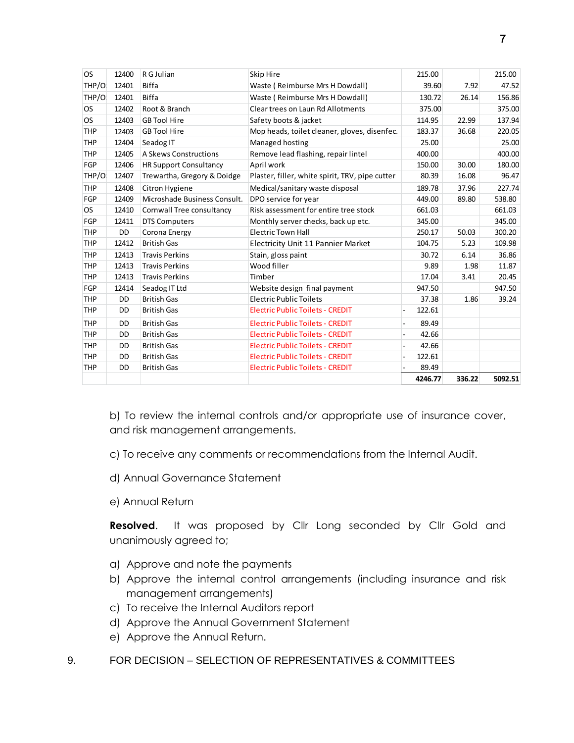| <b>OS</b>  | 12400     | R G Julian                    | <b>Skip Hire</b>                                | 215.00  |        | 215.00  |
|------------|-----------|-------------------------------|-------------------------------------------------|---------|--------|---------|
| THP/O      | 12401     | <b>Biffa</b>                  | Waste (Reimburse Mrs H Dowdall)                 | 39.60   | 7.92   | 47.52   |
| THP/O      | 12401     | <b>Biffa</b>                  | Waste (Reimburse Mrs H Dowdall)                 | 130.72  | 26.14  | 156.86  |
| <b>OS</b>  | 12402     | Root & Branch                 | Clear trees on Laun Rd Allotments               | 375.00  |        | 375.00  |
| <b>OS</b>  | 12403     | <b>GB Tool Hire</b>           | Safety boots & jacket                           | 114.95  | 22.99  | 137.94  |
| <b>THP</b> | 12403     | <b>GB Tool Hire</b>           | Mop heads, toilet cleaner, gloves, disenfec.    | 183.37  | 36.68  | 220.05  |
| <b>THP</b> | 12404     | Seadog IT                     | Managed hosting                                 | 25.00   |        | 25.00   |
| <b>THP</b> | 12405     | A Skews Constructions         | Remove lead flashing, repair lintel             | 400.00  |        | 400.00  |
| <b>FGP</b> | 12406     | <b>HR Support Consultancy</b> | April work                                      | 150.00  | 30.00  | 180.00  |
| THP/O      | 12407     | Trewartha, Gregory & Doidge   | Plaster, filler, white spirit, TRV, pipe cutter | 80.39   | 16.08  | 96.47   |
| THP        | 12408     | Citron Hygiene                | Medical/sanitary waste disposal                 | 189.78  | 37.96  | 227.74  |
| <b>FGP</b> | 12409     | Microshade Business Consult.  | DPO service for year                            | 449.00  | 89.80  | 538.80  |
| <b>OS</b>  | 12410     | Cornwall Tree consultancy     | Risk assessment for entire tree stock           | 661.03  |        | 661.03  |
| <b>FGP</b> | 12411     | <b>DTS Computers</b>          | Monthly server checks, back up etc.             | 345.00  |        | 345.00  |
| <b>THP</b> | <b>DD</b> | Corona Energy                 | <b>Electric Town Hall</b>                       | 250.17  | 50.03  | 300.20  |
| <b>THP</b> | 12412     | <b>British Gas</b>            | Electricity Unit 11 Pannier Market              | 104.75  | 5.23   | 109.98  |
| <b>THP</b> | 12413     | <b>Travis Perkins</b>         | Stain, gloss paint                              | 30.72   | 6.14   | 36.86   |
| <b>THP</b> | 12413     | <b>Travis Perkins</b>         | Wood filler                                     | 9.89    | 1.98   | 11.87   |
| <b>THP</b> | 12413     | <b>Travis Perkins</b>         | Timber                                          | 17.04   | 3.41   | 20.45   |
| FGP        | 12414     | Seadog IT Ltd                 | Website design final payment                    | 947.50  |        | 947.50  |
| <b>THP</b> | <b>DD</b> | <b>British Gas</b>            | <b>Electric Public Toilets</b>                  | 37.38   | 1.86   | 39.24   |
| <b>THP</b> | DD.       | <b>British Gas</b>            | <b>Electric Public Toilets - CREDIT</b>         | 122.61  |        |         |
| <b>THP</b> | DD.       | <b>British Gas</b>            | <b>Electric Public Toilets - CREDIT</b>         | 89.49   |        |         |
| <b>THP</b> | DD.       | <b>British Gas</b>            | <b>Electric Public Toilets - CREDIT</b>         | 42.66   |        |         |
| <b>THP</b> | DD.       | <b>British Gas</b>            | <b>Electric Public Toilets - CREDIT</b>         | 42.66   |        |         |
| <b>THP</b> | <b>DD</b> | <b>British Gas</b>            | <b>Electric Public Toilets - CREDIT</b>         | 122.61  |        |         |
| <b>THP</b> | <b>DD</b> | <b>British Gas</b>            | <b>Electric Public Toilets - CREDIT</b>         | 89.49   |        |         |
|            |           |                               |                                                 | 4246.77 | 336.22 | 5092.51 |

b) To review the internal controls and/or appropriate use of insurance cover, and risk management arrangements.

- c) To receive any comments or recommendations from the Internal Audit.
- d) Annual Governance Statement
- e) Annual Return

**Resolved**. It was proposed by Cllr Long seconded by Cllr Gold and unanimously agreed to;

- a) Approve and note the payments
- b) Approve the internal control arrangements (including insurance and risk management arrangements)
- c) To receive the Internal Auditors report
- d) Approve the Annual Government Statement
- e) Approve the Annual Return.
- 9. FOR DECISION SELECTION OF REPRESENTATIVES & COMMITTEES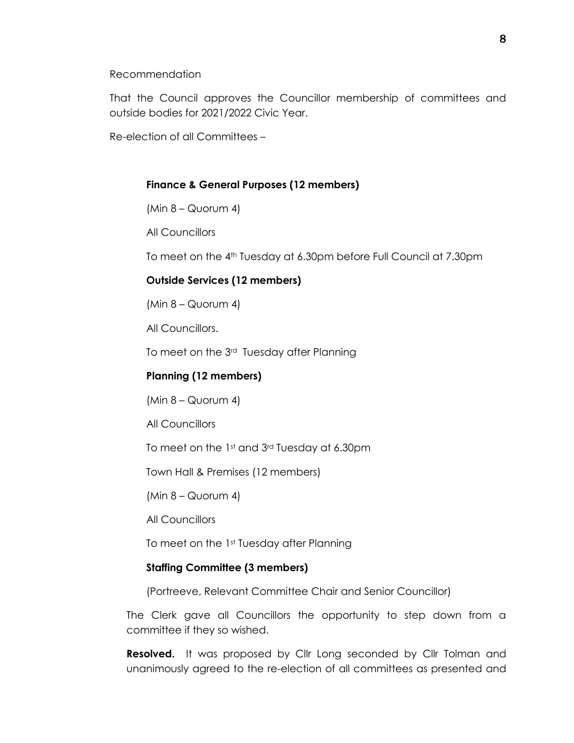Recommendation

That the Council approves the Councillor membership of committees and outside bodies for 2021/2022 Civic Year.

Re-election of all Committees –

### **Finance & General Purposes (12 members)**

 $(Min 8 - \text{Quorum } 4)$ 

All Councillors

To meet on the 4th Tuesday at 6.30pm before Full Council at 7.30pm

#### **Outside Services (12 members)**

 $(Min 8 - \text{Quorum } 4)$ 

All Councillors.

To meet on the 3rd Tuesday after Planning

#### **Planning (12 members)**

 $(Min 8 - QUorum 4)$ 

All Councillors

To meet on the 1st and 3rd Tuesday at 6.30pm

Town Hall & Premises (12 members)

 $(Min 8 - QUorum 4)$ 

All Councillors

To meet on the 1st Tuesday after Planning

#### **Staffing Committee (3 members)**

(Portreeve, Relevant Committee Chair and Senior Councillor)

The Clerk gave all Councillors the opportunity to step down from a committee if they so wished.

**Resolved.** It was proposed by Cllr Long seconded by Cllr Tolman and unanimously agreed to the re-election of all committees as presented and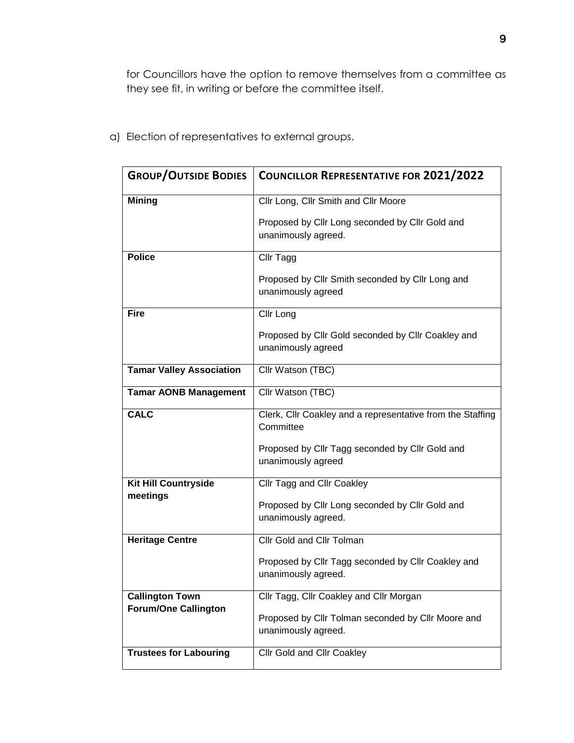for Councillors have the option to remove themselves from a committee as they see fit, in writing or before the committee itself.

| <b>GROUP/OUTSIDE BODIES</b>     | <b>COUNCILLOR REPRESENTATIVE FOR 2021/2022</b>                            |
|---------------------------------|---------------------------------------------------------------------------|
| <b>Mining</b>                   | Cllr Long, Cllr Smith and Cllr Moore                                      |
|                                 | Proposed by Cllr Long seconded by Cllr Gold and<br>unanimously agreed.    |
| <b>Police</b>                   | Cllr Tagg                                                                 |
|                                 | Proposed by Cllr Smith seconded by Cllr Long and<br>unanimously agreed    |
| <b>Fire</b>                     | Cllr Long                                                                 |
|                                 | Proposed by Cllr Gold seconded by Cllr Coakley and<br>unanimously agreed  |
| <b>Tamar Valley Association</b> | Cllr Watson (TBC)                                                         |
| <b>Tamar AONB Management</b>    | Cllr Watson (TBC)                                                         |
| <b>CALC</b>                     | Clerk, Cllr Coakley and a representative from the Staffing<br>Committee   |
|                                 | Proposed by Cllr Tagg seconded by Cllr Gold and<br>unanimously agreed     |
| <b>Kit Hill Countryside</b>     | Cllr Tagg and Cllr Coakley                                                |
| meetings                        | Proposed by Cllr Long seconded by Cllr Gold and<br>unanimously agreed.    |
| <b>Heritage Centre</b>          | Cllr Gold and Cllr Tolman                                                 |
|                                 | Proposed by Cllr Tagg seconded by Cllr Coakley and<br>unanimously agreed. |
| <b>Callington Town</b>          | Cllr Tagg, Cllr Coakley and Cllr Morgan                                   |
| <b>Forum/One Callington</b>     | Proposed by Cllr Tolman seconded by Cllr Moore and<br>unanimously agreed. |
| <b>Trustees for Labouring</b>   | <b>Cllr Gold and Cllr Coakley</b>                                         |

a) Election of representatives to external groups.

 $\mathsf{r}$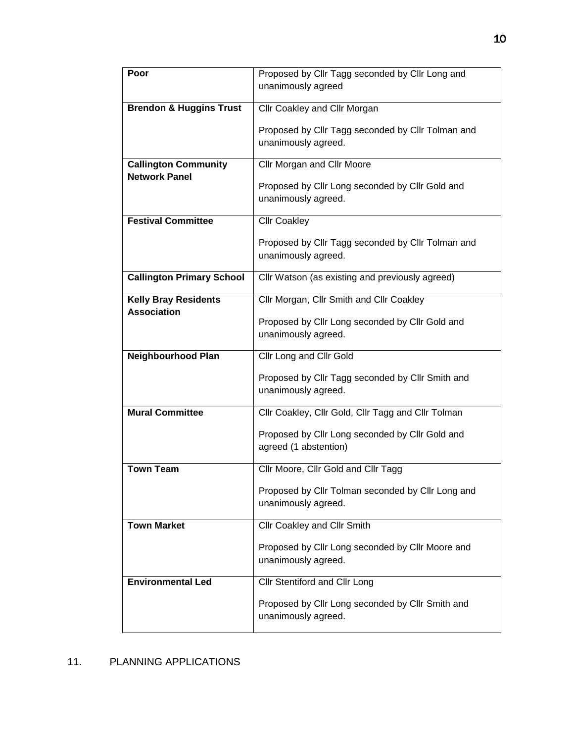| Poor                               | Proposed by Cllr Tagg seconded by Cllr Long and    |
|------------------------------------|----------------------------------------------------|
|                                    | unanimously agreed                                 |
|                                    |                                                    |
| <b>Brendon &amp; Huggins Trust</b> | Cllr Coakley and Cllr Morgan                       |
|                                    | Proposed by Cllr Tagg seconded by Cllr Tolman and  |
|                                    | unanimously agreed.                                |
|                                    |                                                    |
| <b>Callington Community</b>        | Cllr Morgan and Cllr Moore                         |
| <b>Network Panel</b>               |                                                    |
|                                    | Proposed by Cllr Long seconded by Cllr Gold and    |
|                                    | unanimously agreed.                                |
| <b>Festival Committee</b>          | <b>Cllr Coakley</b>                                |
|                                    |                                                    |
|                                    | Proposed by Cllr Tagg seconded by Cllr Tolman and  |
|                                    | unanimously agreed.                                |
| <b>Callington Primary School</b>   | Cllr Watson (as existing and previously agreed)    |
|                                    |                                                    |
| <b>Kelly Bray Residents</b>        | Cllr Morgan, Cllr Smith and Cllr Coakley           |
| <b>Association</b>                 |                                                    |
|                                    | Proposed by Cllr Long seconded by Cllr Gold and    |
|                                    | unanimously agreed.                                |
|                                    |                                                    |
| <b>Neighbourhood Plan</b>          | Cllr Long and Cllr Gold                            |
|                                    |                                                    |
|                                    | Proposed by Cllr Tagg seconded by Cllr Smith and   |
|                                    | unanimously agreed.                                |
| <b>Mural Committee</b>             | Cllr Coakley, Cllr Gold, Cllr Tagg and Cllr Tolman |
|                                    |                                                    |
|                                    | Proposed by Cllr Long seconded by Cllr Gold and    |
|                                    | agreed (1 abstention)                              |
| <b>Town Team</b>                   |                                                    |
|                                    | Cllr Moore, Cllr Gold and Cllr Tagg                |
|                                    | Proposed by Cllr Tolman seconded by Cllr Long and  |
|                                    | unanimously agreed.                                |
|                                    |                                                    |
| <b>Town Market</b>                 | Cllr Coakley and Cllr Smith                        |
|                                    | Proposed by Cllr Long seconded by Cllr Moore and   |
|                                    | unanimously agreed.                                |
|                                    |                                                    |
| <b>Environmental Led</b>           | Cllr Stentiford and Cllr Long                      |
|                                    | Proposed by Cllr Long seconded by Cllr Smith and   |
|                                    | unanimously agreed.                                |

# 11. PLANNING APPLICATIONS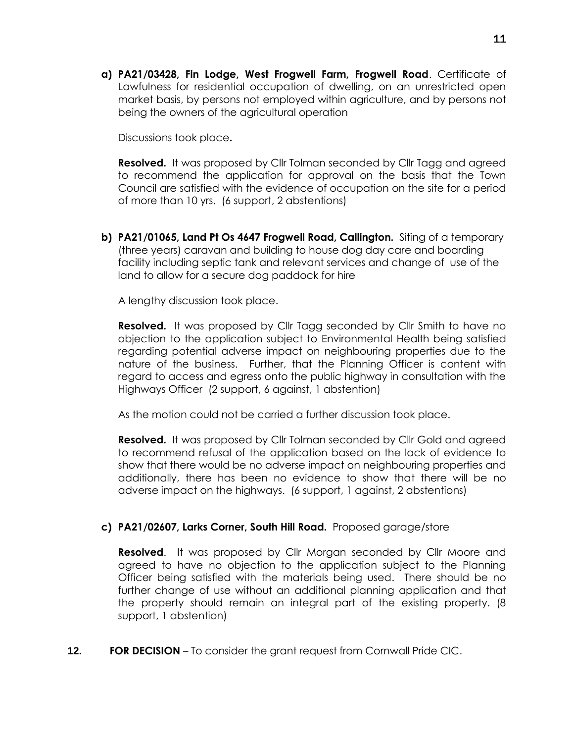**a) PA21/03428, Fin Lodge, West Frogwell Farm, Frogwell Road**. Certificate of Lawfulness for residential occupation of dwelling, on an unrestricted open market basis, by persons not employed within agriculture, and by persons not being the owners of the agricultural operation

Discussions took place**.**

**Resolved.** It was proposed by Cllr Tolman seconded by Cllr Tagg and agreed to recommend the application for approval on the basis that the Town Council are satisfied with the evidence of occupation on the site for a period of more than 10 yrs. (6 support, 2 abstentions)

**b) PA21/01065, Land Pt Os 4647 Frogwell Road, Callington.** Siting of a temporary (three years) caravan and building to house dog day care and boarding facility including septic tank and relevant services and change of use of the land to allow for a secure dog paddock for hire

A lengthy discussion took place.

**Resolved.** It was proposed by Cllr Tagg seconded by Cllr Smith to have no objection to the application subject to Environmental Health being satisfied regarding potential adverse impact on neighbouring properties due to the nature of the business. Further, that the Planning Officer is content with regard to access and egress onto the public highway in consultation with the Highways Officer (2 support, 6 against, 1 abstention)

As the motion could not be carried a further discussion took place.

**Resolved.** It was proposed by Cllr Tolman seconded by Cllr Gold and agreed to recommend refusal of the application based on the lack of evidence to show that there would be no adverse impact on neighbouring properties and additionally, there has been no evidence to show that there will be no adverse impact on the highways. (6 support, 1 against, 2 abstentions)

#### **c) PA21/02607, Larks Corner, South Hill Road.** Proposed garage/store

**Resolved**. It was proposed by Cllr Morgan seconded by Cllr Moore and agreed to have no objection to the application subject to the Planning Officer being satisfied with the materials being used. There should be no further change of use without an additional planning application and that the property should remain an integral part of the existing property. (8 support, 1 abstention)

**12. FOR DECISION** – To consider the grant request from Cornwall Pride CIC.